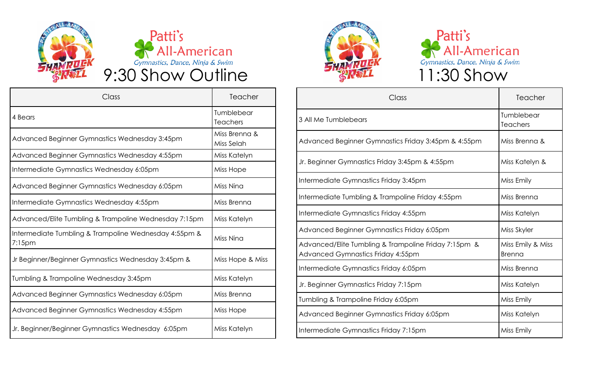



| Class                                                              | Teacher                     |
|--------------------------------------------------------------------|-----------------------------|
| 4 Bears                                                            | Tumblebear<br>Teachers      |
| Advanced Beginner Gymnastics Wednesday 3:45pm                      | Miss Brenna &<br>Miss Selah |
| Advanced Beginner Gymnastics Wednesday 4:55pm                      | Miss Katelyn                |
| Intermediate Gymnastics Wednesday 6:05pm                           | Miss Hope                   |
| Advanced Beginner Gymnastics Wednesday 6:05pm                      | Miss Nina                   |
| Intermediate Gymnastics Wednesday 4:55pm                           | Miss Brenna                 |
| Advanced/Elite Tumbling & Trampoline Wednesday 7:15pm              | Miss Katelyn                |
| Intermediate Tumbling & Trampoline Wednesday 4:55pm &<br>$7:15$ pm | Miss Nina                   |
| Jr Beginner/Beginner Gymnastics Wednesday 3:45pm &                 | Miss Hope & Miss            |
| Tumbling & Trampoline Wednesday 3:45pm                             | Miss Katelyn                |
| Advanced Beginner Gymnastics Wednesday 6:05pm                      | Miss Brenna                 |
| Advanced Beginner Gymnastics Wednesday 4:55pm                      | Miss Hope                   |
| Jr. Beginner/Beginner Gymnastics Wednesday 6:05pm                  | Miss Katelyn                |





| Class                                                                                     | Teacher                            |
|-------------------------------------------------------------------------------------------|------------------------------------|
| 3 All Me Tumblebears                                                                      | Tumblebear<br><b>Teachers</b>      |
| Advanced Beginner Gymnastics Friday 3:45pm & 4:55pm                                       | Miss Brenna &                      |
| Jr. Beginner Gymnastics Friday 3:45pm & 4:55pm                                            | Miss Katelyn &                     |
| Intermediate Gymnastics Friday 3:45pm                                                     | Miss Emily                         |
| Intermediate Tumbling & Trampoline Friday 4:55pm                                          | Miss Brenna                        |
| Intermediate Gymnastics Friday 4:55pm                                                     | Miss Katelyn                       |
| Advanced Beginner Gymnastics Friday 6:05pm                                                | Miss Skyler                        |
| Advanced/Elite Tumbling & Trampoline Friday 7:15pm &<br>Advanced Gymnastics Friday 4:55pm | Miss Emily & Miss<br><b>Brenna</b> |
| Intermediate Gymnastics Friday 6:05pm                                                     | Miss Brenna                        |
| Jr. Beginner Gymnastics Friday 7:15pm                                                     | Miss Katelyn                       |
| Tumbling & Trampoline Friday 6:05pm                                                       | Miss Emily                         |
| Advanced Beginner Gymnastics Friday 6:05pm                                                | Miss Katelyn                       |
| Intermediate Gymnastics Friday 7:15pm                                                     | Miss Emily                         |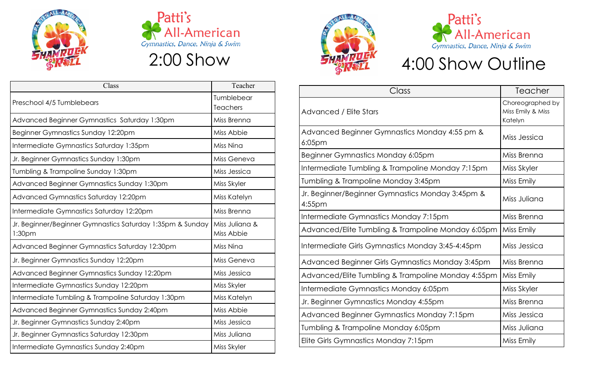



| Class                                                               | Teacher                       |
|---------------------------------------------------------------------|-------------------------------|
| Preschool 4/5 Tumblebears                                           | Tumblebear<br><b>Teachers</b> |
| Advanced Beginner Gymnastics Saturday 1:30pm                        | Miss Brenna                   |
| Beginner Gymnastics Sunday 12:20pm                                  | Miss Abbie                    |
| Intermediate Gymnastics Saturday 1:35pm                             | Miss Nina                     |
| Jr. Beginner Gymnastics Sunday 1:30pm                               | Miss Geneva                   |
| Tumbling & Trampoline Sunday 1:30pm                                 | Miss Jessica                  |
| Advanced Beginner Gymnastics Sunday 1:30pm                          | Miss Skyler                   |
| Advanced Gymnastics Saturday 12:20pm                                | Miss Katelyn                  |
| Intermediate Gymnastics Saturday 12:20pm                            | Miss Brenna                   |
| Jr. Beginner/Beginner Gymnastics Saturday 1:35pm & Sunday<br>1:30pm | Miss Juliana &<br>Miss Abbie  |
| Advanced Beginner Gymnastics Saturday 12:30pm                       | Miss Nina                     |
| Jr. Beginner Gymnastics Sunday 12:20pm                              | Miss Geneva                   |
| Advanced Beginner Gymnastics Sunday 12:20pm                         | Miss Jessica                  |
| Intermediate Gymnastics Sunday 12:20pm                              | Miss Skyler                   |
| Intermediate Tumbling & Trampoline Saturday 1:30pm                  | Miss Katelyn                  |
| Advanced Beginner Gymnastics Sunday 2:40pm                          | Miss Abbie                    |
| Jr. Beginner Gymnastics Sunday 2:40pm                               | Miss Jessica                  |
| Jr. Beginner Gymnastics Saturday 12:30pm                            | Miss Juliana                  |
| Intermediate Gymnastics Sunday 2:40pm                               | Miss Skyler                   |





## 4:00 Show Outline

| Choreographed by<br>Miss Emily & Miss<br>Katelyn<br>Miss Jessica<br>Miss Brenna<br>Miss Skyler<br>Miss Emily<br>Miss Juliana<br>Miss Brenna<br>Miss Emily<br>Miss Jessica<br>Miss Brenna<br>Miss Emily<br>Miss Skyler<br>Miss Brenna<br>Miss Jessica<br>Miss Juliana | Class                                                      | Teacher    |
|----------------------------------------------------------------------------------------------------------------------------------------------------------------------------------------------------------------------------------------------------------------------|------------------------------------------------------------|------------|
|                                                                                                                                                                                                                                                                      | Advanced / Elite Stars                                     |            |
|                                                                                                                                                                                                                                                                      | Advanced Beginner Gymnastics Monday 4:55 pm &<br>$6:05$ pm |            |
|                                                                                                                                                                                                                                                                      | Beginner Gymnastics Monday 6:05pm                          |            |
|                                                                                                                                                                                                                                                                      | Intermediate Tumbling & Trampoline Monday 7:15pm           |            |
|                                                                                                                                                                                                                                                                      | Tumbling & Trampoline Monday 3:45pm                        |            |
|                                                                                                                                                                                                                                                                      | Jr. Beginner/Beginner Gymnastics Monday 3:45pm &<br>4:55pm |            |
|                                                                                                                                                                                                                                                                      | Intermediate Gymnastics Monday 7:15pm                      |            |
|                                                                                                                                                                                                                                                                      | Advanced/Elite Tumbling & Trampoline Monday 6:05pm         |            |
|                                                                                                                                                                                                                                                                      | Intermediate Girls Gymnastics Monday 3:45-4:45pm           |            |
|                                                                                                                                                                                                                                                                      | Advanced Beginner Girls Gymnastics Monday 3:45pm           |            |
|                                                                                                                                                                                                                                                                      | Advanced/Elite Tumbling & Trampoline Monday 4:55pm         |            |
|                                                                                                                                                                                                                                                                      | Intermediate Gymnastics Monday 6:05pm                      |            |
|                                                                                                                                                                                                                                                                      | Jr. Beginner Gymnastics Monday 4:55pm                      |            |
|                                                                                                                                                                                                                                                                      | Advanced Beginner Gymnastics Monday 7:15pm                 |            |
|                                                                                                                                                                                                                                                                      | Tumbling & Trampoline Monday 6:05pm                        |            |
|                                                                                                                                                                                                                                                                      | Elite Girls Gymnastics Monday 7:15pm                       | Miss Emily |